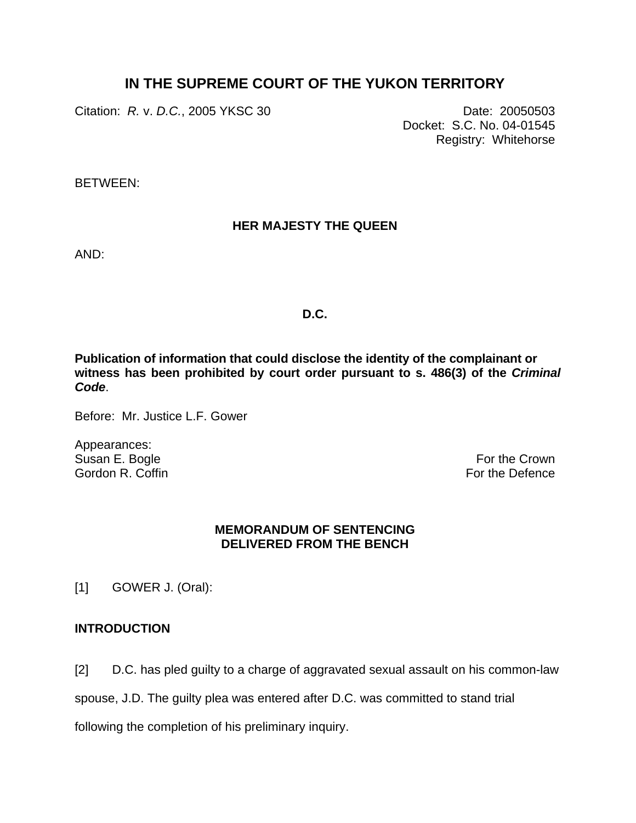# **IN THE SUPREME COURT OF THE YUKON TERRITORY**

Citation: *R.* v. *D.C.*, 2005 YKSC 30 Date: 20050503

Docket: S.C. No. 04-01545 Registry: Whitehorse

BETWEEN:

# **HER MAJESTY THE QUEEN**

AND:

# **D.C.**

**Publication of information that could disclose the identity of the complainant or witness has been prohibited by court order pursuant to s. 486(3) of the** *Criminal Code*.

Before: Mr. Justice L.F. Gower

Appearances: Susan E. Bogle Gordon R. Coffin

For the Crown For the Defence

# **MEMORANDUM OF SENTENCING DELIVERED FROM THE BENCH**

[1] GOWER J. (Oral):

# **INTRODUCTION**

[2] D.C. has pled guilty to a charge of aggravated sexual assault on his common-law

spouse, J.D. The guilty plea was entered after D.C. was committed to stand trial

following the completion of his preliminary inquiry.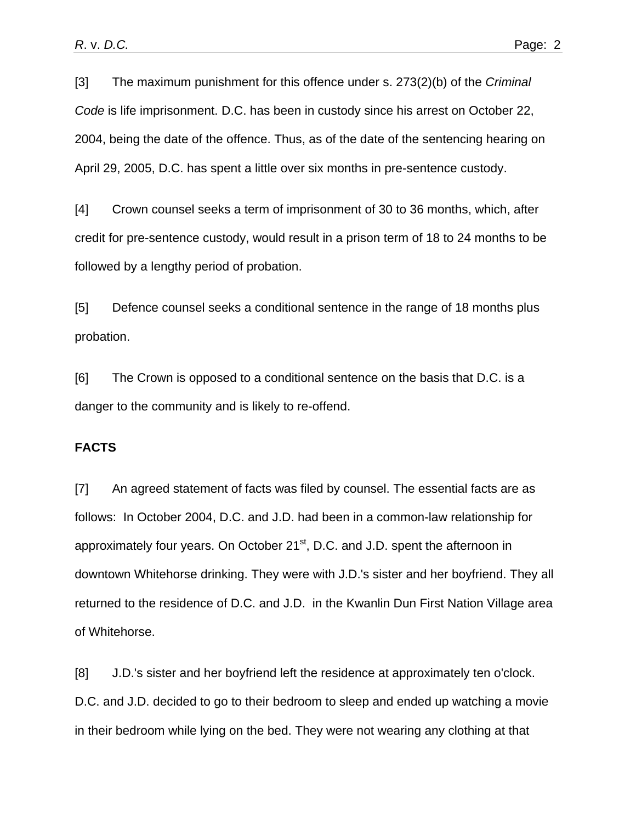[3] The maximum punishment for this offence under s. 273(2)(b) of the *Criminal Code* is life imprisonment. D.C. has been in custody since his arrest on October 22, 2004, being the date of the offence. Thus, as of the date of the sentencing hearing on April 29, 2005, D.C. has spent a little over six months in pre-sentence custody.

[4] Crown counsel seeks a term of imprisonment of 30 to 36 months, which, after credit for pre-sentence custody, would result in a prison term of 18 to 24 months to be followed by a lengthy period of probation.

[5] Defence counsel seeks a conditional sentence in the range of 18 months plus probation.

[6] The Crown is opposed to a conditional sentence on the basis that D.C. is a danger to the community and is likely to re-offend.

# **FACTS**

[7] An agreed statement of facts was filed by counsel. The essential facts are as follows: In October 2004, D.C. and J.D. had been in a common-law relationship for approximately four years. On October 21<sup>st</sup>, D.C. and J.D. spent the afternoon in downtown Whitehorse drinking. They were with J.D.'s sister and her boyfriend. They all returned to the residence of D.C. and J.D. in the Kwanlin Dun First Nation Village area of Whitehorse.

[8] J.D.'s sister and her boyfriend left the residence at approximately ten o'clock. D.C. and J.D. decided to go to their bedroom to sleep and ended up watching a movie in their bedroom while lying on the bed. They were not wearing any clothing at that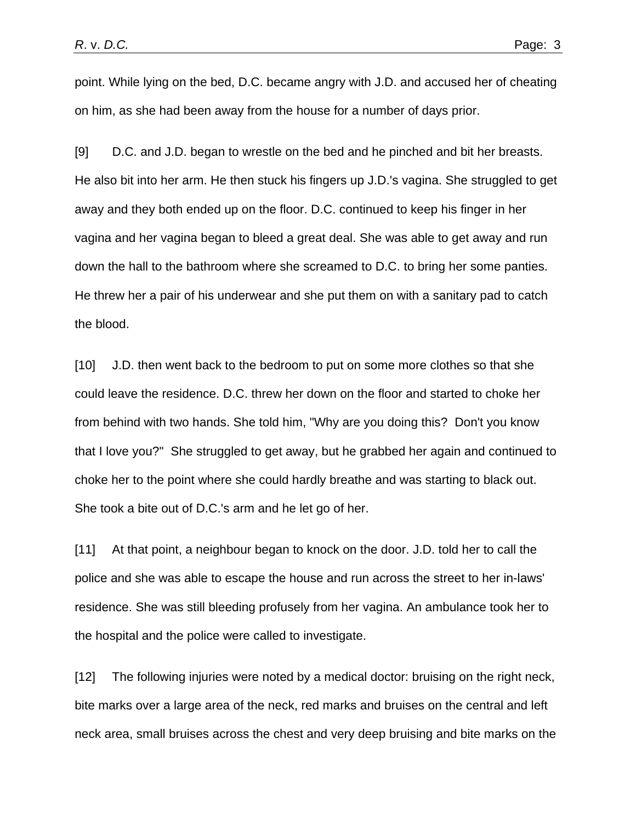point. While lying on the bed, D.C. became angry with J.D. and accused her of cheating on him, as she had been away from the house for a number of days prior.

[9] D.C. and J.D. began to wrestle on the bed and he pinched and bit her breasts. He also bit into her arm. He then stuck his fingers up J.D.'s vagina. She struggled to get away and they both ended up on the floor. D.C. continued to keep his finger in her vagina and her vagina began to bleed a great deal. She was able to get away and run down the hall to the bathroom where she screamed to D.C. to bring her some panties. He threw her a pair of his underwear and she put them on with a sanitary pad to catch the blood.

[10] J.D. then went back to the bedroom to put on some more clothes so that she could leave the residence. D.C. threw her down on the floor and started to choke her from behind with two hands. She told him, "Why are you doing this? Don't you know that I love you?" She struggled to get away, but he grabbed her again and continued to choke her to the point where she could hardly breathe and was starting to black out. She took a bite out of D.C.'s arm and he let go of her.

[11] At that point, a neighbour began to knock on the door. J.D. told her to call the police and she was able to escape the house and run across the street to her in-laws' residence. She was still bleeding profusely from her vagina. An ambulance took her to the hospital and the police were called to investigate.

[12] The following injuries were noted by a medical doctor: bruising on the right neck, bite marks over a large area of the neck, red marks and bruises on the central and left neck area, small bruises across the chest and very deep bruising and bite marks on the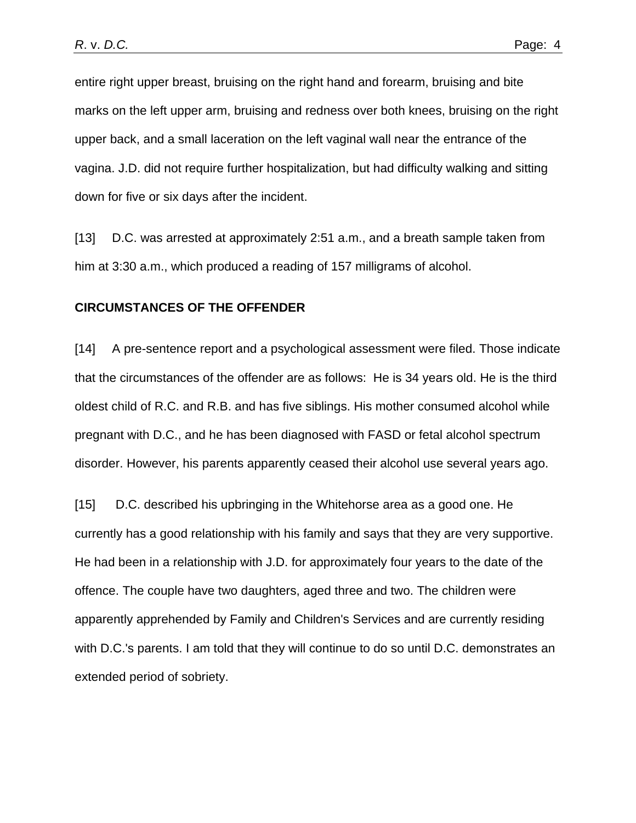entire right upper breast, bruising on the right hand and forearm, bruising and bite marks on the left upper arm, bruising and redness over both knees, bruising on the right upper back, and a small laceration on the left vaginal wall near the entrance of the vagina. J.D. did not require further hospitalization, but had difficulty walking and sitting down for five or six days after the incident.

[13] D.C. was arrested at approximately 2:51 a.m., and a breath sample taken from him at 3:30 a.m., which produced a reading of 157 milligrams of alcohol.

#### **CIRCUMSTANCES OF THE OFFENDER**

[14] A pre-sentence report and a psychological assessment were filed. Those indicate that the circumstances of the offender are as follows: He is 34 years old. He is the third oldest child of R.C. and R.B. and has five siblings. His mother consumed alcohol while pregnant with D.C., and he has been diagnosed with FASD or fetal alcohol spectrum disorder. However, his parents apparently ceased their alcohol use several years ago.

[15] D.C. described his upbringing in the Whitehorse area as a good one. He currently has a good relationship with his family and says that they are very supportive. He had been in a relationship with J.D. for approximately four years to the date of the offence. The couple have two daughters, aged three and two. The children were apparently apprehended by Family and Children's Services and are currently residing with D.C.'s parents. I am told that they will continue to do so until D.C. demonstrates an extended period of sobriety.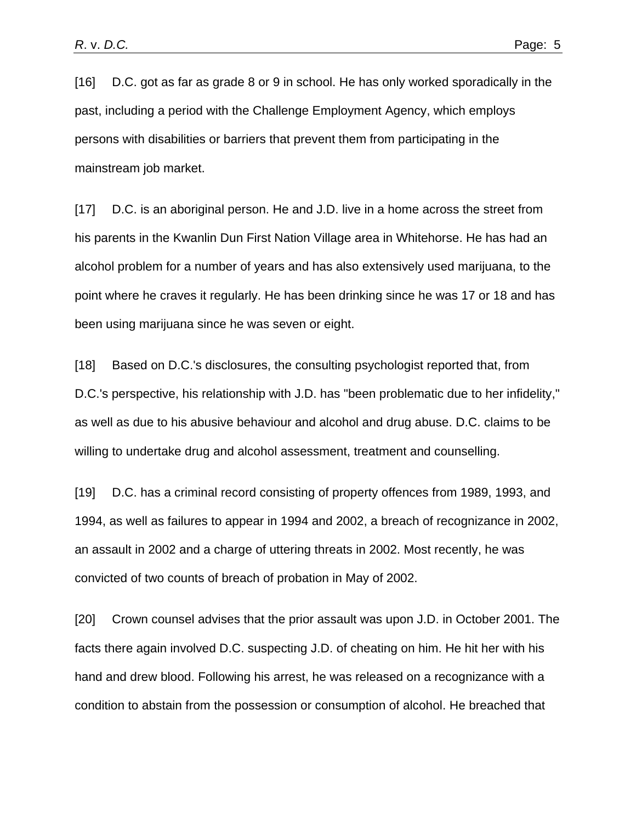[16] D.C. got as far as grade 8 or 9 in school. He has only worked sporadically in the past, including a period with the Challenge Employment Agency, which employs persons with disabilities or barriers that prevent them from participating in the mainstream job market.

[17] D.C. is an aboriginal person. He and J.D. live in a home across the street from his parents in the Kwanlin Dun First Nation Village area in Whitehorse. He has had an alcohol problem for a number of years and has also extensively used marijuana, to the point where he craves it regularly. He has been drinking since he was 17 or 18 and has been using marijuana since he was seven or eight.

[18] Based on D.C.'s disclosures, the consulting psychologist reported that, from D.C.'s perspective, his relationship with J.D. has "been problematic due to her infidelity," as well as due to his abusive behaviour and alcohol and drug abuse. D.C. claims to be willing to undertake drug and alcohol assessment, treatment and counselling.

[19] D.C. has a criminal record consisting of property offences from 1989, 1993, and 1994, as well as failures to appear in 1994 and 2002, a breach of recognizance in 2002, an assault in 2002 and a charge of uttering threats in 2002. Most recently, he was convicted of two counts of breach of probation in May of 2002.

[20] Crown counsel advises that the prior assault was upon J.D. in October 2001. The facts there again involved D.C. suspecting J.D. of cheating on him. He hit her with his hand and drew blood. Following his arrest, he was released on a recognizance with a condition to abstain from the possession or consumption of alcohol. He breached that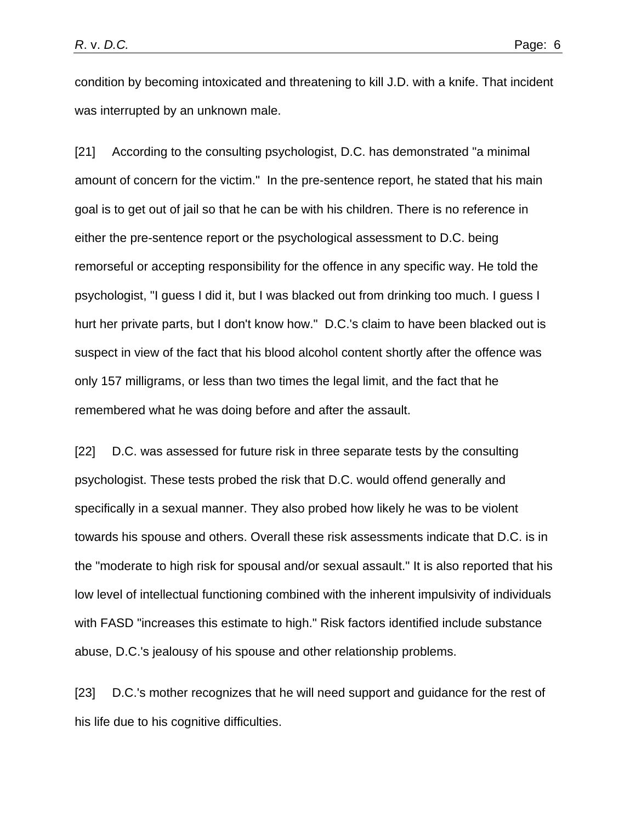condition by becoming intoxicated and threatening to kill J.D. with a knife. That incident was interrupted by an unknown male.

[21] According to the consulting psychologist, D.C. has demonstrated "a minimal amount of concern for the victim." In the pre-sentence report, he stated that his main goal is to get out of jail so that he can be with his children. There is no reference in either the pre-sentence report or the psychological assessment to D.C. being remorseful or accepting responsibility for the offence in any specific way. He told the psychologist, "I guess I did it, but I was blacked out from drinking too much. I guess I hurt her private parts, but I don't know how." D.C.'s claim to have been blacked out is suspect in view of the fact that his blood alcohol content shortly after the offence was only 157 milligrams, or less than two times the legal limit, and the fact that he remembered what he was doing before and after the assault.

[22] D.C. was assessed for future risk in three separate tests by the consulting psychologist. These tests probed the risk that D.C. would offend generally and specifically in a sexual manner. They also probed how likely he was to be violent towards his spouse and others. Overall these risk assessments indicate that D.C. is in the "moderate to high risk for spousal and/or sexual assault." It is also reported that his low level of intellectual functioning combined with the inherent impulsivity of individuals with FASD "increases this estimate to high." Risk factors identified include substance abuse, D.C.'s jealousy of his spouse and other relationship problems.

[23] D.C.'s mother recognizes that he will need support and guidance for the rest of his life due to his cognitive difficulties.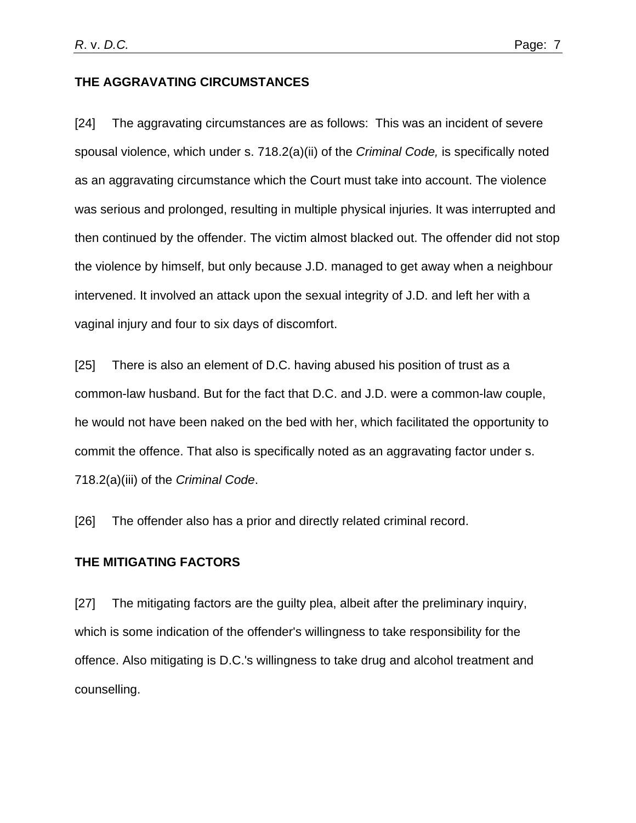## **THE AGGRAVATING CIRCUMSTANCES**

[24] The aggravating circumstances are as follows: This was an incident of severe spousal violence, which under s. 718.2(a)(ii) of the *Criminal Code,* is specifically noted as an aggravating circumstance which the Court must take into account. The violence was serious and prolonged, resulting in multiple physical injuries. It was interrupted and then continued by the offender. The victim almost blacked out. The offender did not stop the violence by himself, but only because J.D. managed to get away when a neighbour intervened. It involved an attack upon the sexual integrity of J.D. and left her with a vaginal injury and four to six days of discomfort.

[25] There is also an element of D.C. having abused his position of trust as a common-law husband. But for the fact that D.C. and J.D. were a common-law couple, he would not have been naked on the bed with her, which facilitated the opportunity to commit the offence. That also is specifically noted as an aggravating factor under s. 718.2(a)(iii) of the *Criminal Code*.

[26] The offender also has a prior and directly related criminal record.

## **THE MITIGATING FACTORS**

[27] The mitigating factors are the guilty plea, albeit after the preliminary inquiry, which is some indication of the offender's willingness to take responsibility for the offence. Also mitigating is D.C.'s willingness to take drug and alcohol treatment and counselling.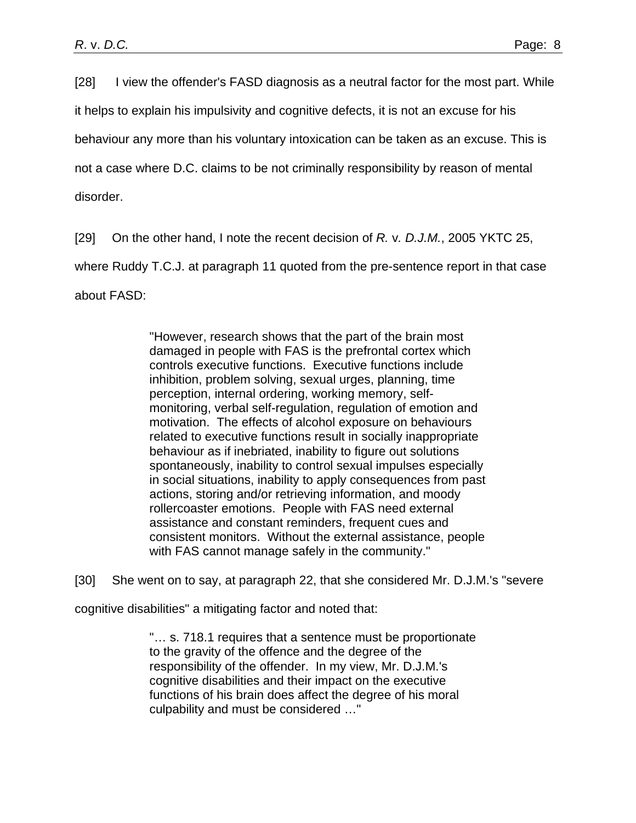[28] I view the offender's FASD diagnosis as a neutral factor for the most part. While

it helps to explain his impulsivity and cognitive defects, it is not an excuse for his

behaviour any more than his voluntary intoxication can be taken as an excuse. This is

not a case where D.C. claims to be not criminally responsibility by reason of mental

disorder.

[29] On the other hand, I note the recent decision of *R.* v*. D.J.M.*, 2005 YKTC 25,

where Ruddy T.C.J. at paragraph 11 quoted from the pre-sentence report in that case

about FASD:

 "However, research shows that the part of the brain most damaged in people with FAS is the prefrontal cortex which controls executive functions. Executive functions include inhibition, problem solving, sexual urges, planning, time perception, internal ordering, working memory, selfmonitoring, verbal self-regulation, regulation of emotion and motivation. The effects of alcohol exposure on behaviours related to executive functions result in socially inappropriate behaviour as if inebriated, inability to figure out solutions spontaneously, inability to control sexual impulses especially in social situations, inability to apply consequences from past actions, storing and/or retrieving information, and moody rollercoaster emotions. People with FAS need external assistance and constant reminders, frequent cues and consistent monitors. Without the external assistance, people with FAS cannot manage safely in the community."

[30] She went on to say, at paragraph 22, that she considered Mr. D.J.M.'s "severe

cognitive disabilities" a mitigating factor and noted that:

"… s. 718.1 requires that a sentence must be proportionate to the gravity of the offence and the degree of the responsibility of the offender. In my view, Mr. D.J.M.'s cognitive disabilities and their impact on the executive functions of his brain does affect the degree of his moral culpability and must be considered …"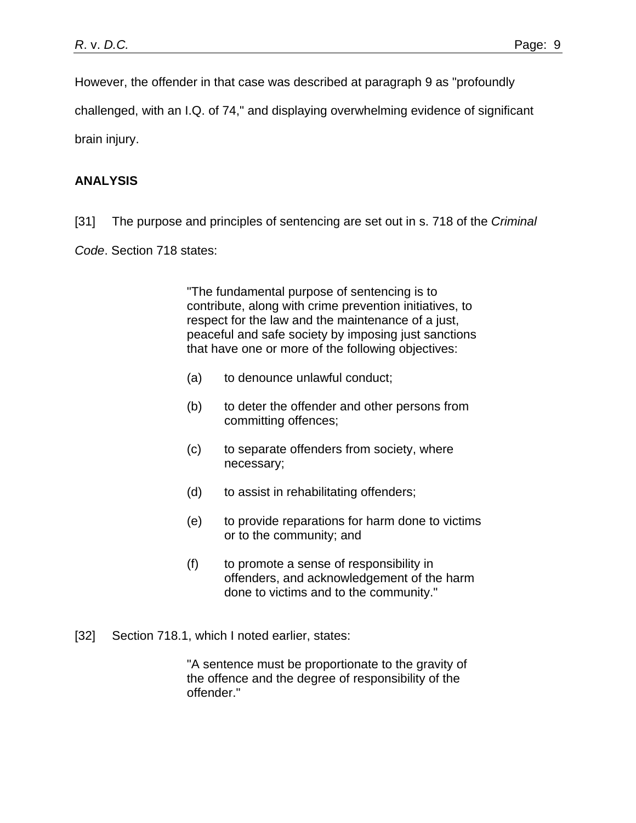However, the offender in that case was described at paragraph 9 as "profoundly

challenged, with an I.Q. of 74," and displaying overwhelming evidence of significant

brain injury.

# **ANALYSIS**

- [31] The purpose and principles of sentencing are set out in s. 718 of the *Criminal*
- *Code*. Section 718 states:

"The fundamental purpose of sentencing is to contribute, along with crime prevention initiatives, to respect for the law and the maintenance of a just, peaceful and safe society by imposing just sanctions that have one or more of the following objectives:

- (a) to denounce unlawful conduct;
- (b) to deter the offender and other persons from committing offences;
- (c) to separate offenders from society, where necessary;
- (d) to assist in rehabilitating offenders;
- (e) to provide reparations for harm done to victims or to the community; and
- (f) to promote a sense of responsibility in offenders, and acknowledgement of the harm done to victims and to the community."
- [32] Section 718.1, which I noted earlier, states:

"A sentence must be proportionate to the gravity of the offence and the degree of responsibility of the offender."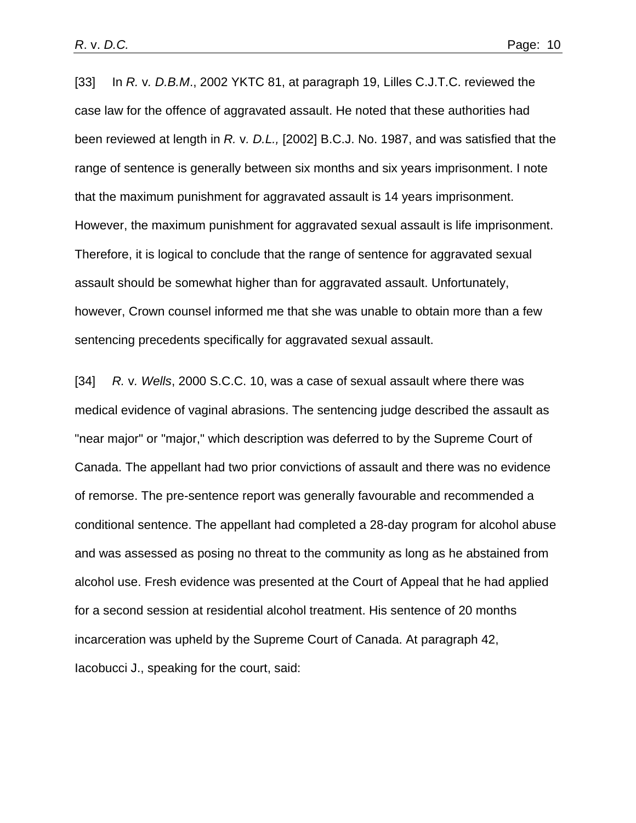[33] In *R.* v*. D.B.M*., 2002 YKTC 81, at paragraph 19, Lilles C.J.T.C. reviewed the case law for the offence of aggravated assault. He noted that these authorities had been reviewed at length in *R.* v*. D.L.,* [2002] B.C.J. No. 1987, and was satisfied that the range of sentence is generally between six months and six years imprisonment. I note that the maximum punishment for aggravated assault is 14 years imprisonment. However, the maximum punishment for aggravated sexual assault is life imprisonment. Therefore, it is logical to conclude that the range of sentence for aggravated sexual assault should be somewhat higher than for aggravated assault. Unfortunately, however, Crown counsel informed me that she was unable to obtain more than a few sentencing precedents specifically for aggravated sexual assault.

[34] *R.* v*. Wells*, 2000 S.C.C. 10, was a case of sexual assault where there was medical evidence of vaginal abrasions. The sentencing judge described the assault as "near major" or "major," which description was deferred to by the Supreme Court of Canada. The appellant had two prior convictions of assault and there was no evidence of remorse. The pre-sentence report was generally favourable and recommended a conditional sentence. The appellant had completed a 28-day program for alcohol abuse and was assessed as posing no threat to the community as long as he abstained from alcohol use. Fresh evidence was presented at the Court of Appeal that he had applied for a second session at residential alcohol treatment. His sentence of 20 months incarceration was upheld by the Supreme Court of Canada. At paragraph 42, Iacobucci J., speaking for the court, said: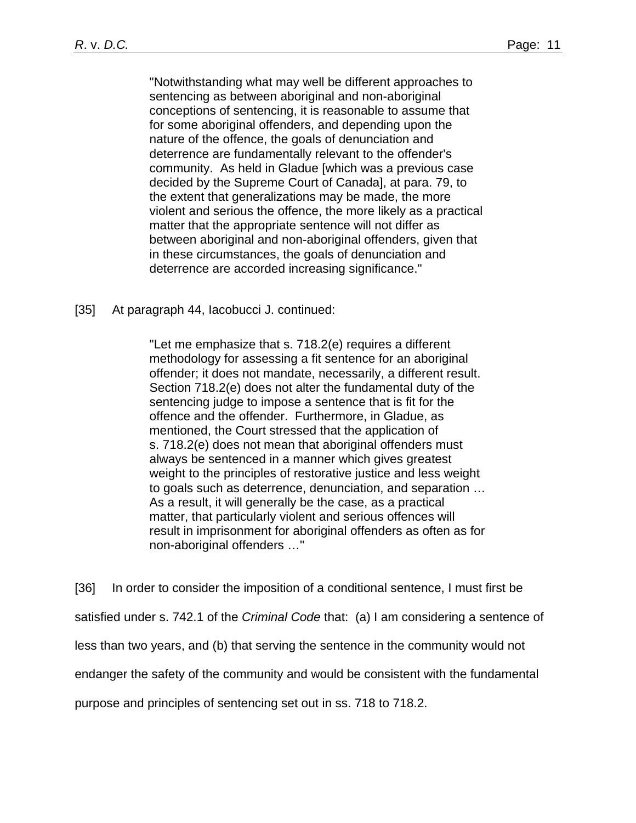"Notwithstanding what may well be different approaches to sentencing as between aboriginal and non-aboriginal conceptions of sentencing, it is reasonable to assume that for some aboriginal offenders, and depending upon the nature of the offence, the goals of denunciation and deterrence are fundamentally relevant to the offender's community. As held in Gladue [which was a previous case decided by the Supreme Court of Canada], at para. 79, to the extent that generalizations may be made, the more violent and serious the offence, the more likely as a practical matter that the appropriate sentence will not differ as between aboriginal and non-aboriginal offenders, given that in these circumstances, the goals of denunciation and deterrence are accorded increasing significance."

## [35] At paragraph 44, Iacobucci J. continued:

"Let me emphasize that s. 718.2(e) requires a different methodology for assessing a fit sentence for an aboriginal offender; it does not mandate, necessarily, a different result. Section 718.2(e) does not alter the fundamental duty of the sentencing judge to impose a sentence that is fit for the offence and the offender. Furthermore, in Gladue, as mentioned, the Court stressed that the application of s. 718.2(e) does not mean that aboriginal offenders must always be sentenced in a manner which gives greatest weight to the principles of restorative justice and less weight to goals such as deterrence, denunciation, and separation … As a result, it will generally be the case, as a practical matter, that particularly violent and serious offences will result in imprisonment for aboriginal offenders as often as for non-aboriginal offenders …"

[36] In order to consider the imposition of a conditional sentence, I must first be satisfied under s. 742.1 of the *Criminal Code* that: (a) I am considering a sentence of less than two years, and (b) that serving the sentence in the community would not endanger the safety of the community and would be consistent with the fundamental purpose and principles of sentencing set out in ss. 718 to 718.2.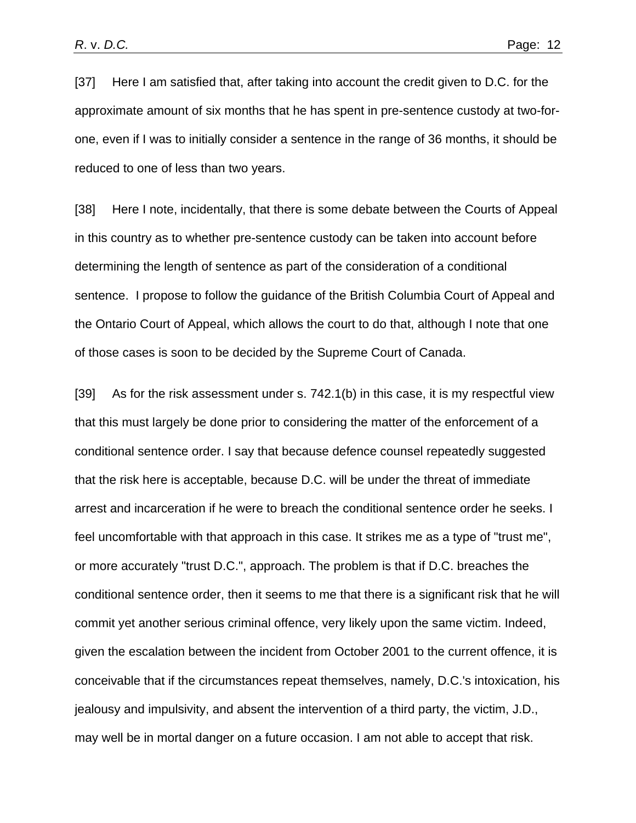[37] Here I am satisfied that, after taking into account the credit given to D.C. for the approximate amount of six months that he has spent in pre-sentence custody at two-forone, even if I was to initially consider a sentence in the range of 36 months, it should be reduced to one of less than two years.

[38] Here I note, incidentally, that there is some debate between the Courts of Appeal in this country as to whether pre-sentence custody can be taken into account before determining the length of sentence as part of the consideration of a conditional sentence. I propose to follow the guidance of the British Columbia Court of Appeal and the Ontario Court of Appeal, which allows the court to do that, although I note that one of those cases is soon to be decided by the Supreme Court of Canada.

[39] As for the risk assessment under s. 742.1(b) in this case, it is my respectful view that this must largely be done prior to considering the matter of the enforcement of a conditional sentence order. I say that because defence counsel repeatedly suggested that the risk here is acceptable, because D.C. will be under the threat of immediate arrest and incarceration if he were to breach the conditional sentence order he seeks. I feel uncomfortable with that approach in this case. It strikes me as a type of "trust me", or more accurately "trust D.C.", approach. The problem is that if D.C. breaches the conditional sentence order, then it seems to me that there is a significant risk that he will commit yet another serious criminal offence, very likely upon the same victim. Indeed, given the escalation between the incident from October 2001 to the current offence, it is conceivable that if the circumstances repeat themselves, namely, D.C.'s intoxication, his jealousy and impulsivity, and absent the intervention of a third party, the victim, J.D., may well be in mortal danger on a future occasion. I am not able to accept that risk.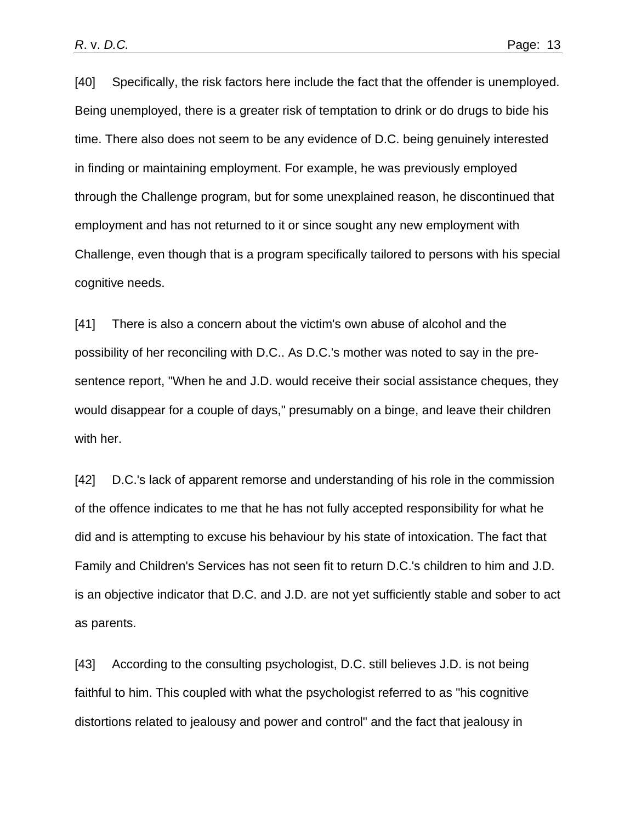[40] Specifically, the risk factors here include the fact that the offender is unemployed. Being unemployed, there is a greater risk of temptation to drink or do drugs to bide his time. There also does not seem to be any evidence of D.C. being genuinely interested in finding or maintaining employment. For example, he was previously employed through the Challenge program, but for some unexplained reason, he discontinued that employment and has not returned to it or since sought any new employment with Challenge, even though that is a program specifically tailored to persons with his special cognitive needs.

[41] There is also a concern about the victim's own abuse of alcohol and the possibility of her reconciling with D.C.. As D.C.'s mother was noted to say in the presentence report, "When he and J.D. would receive their social assistance cheques, they would disappear for a couple of days," presumably on a binge, and leave their children with her.

[42] D.C.'s lack of apparent remorse and understanding of his role in the commission of the offence indicates to me that he has not fully accepted responsibility for what he did and is attempting to excuse his behaviour by his state of intoxication. The fact that Family and Children's Services has not seen fit to return D.C.'s children to him and J.D. is an objective indicator that D.C. and J.D. are not yet sufficiently stable and sober to act as parents.

[43] According to the consulting psychologist, D.C. still believes J.D. is not being faithful to him. This coupled with what the psychologist referred to as "his cognitive distortions related to jealousy and power and control" and the fact that jealousy in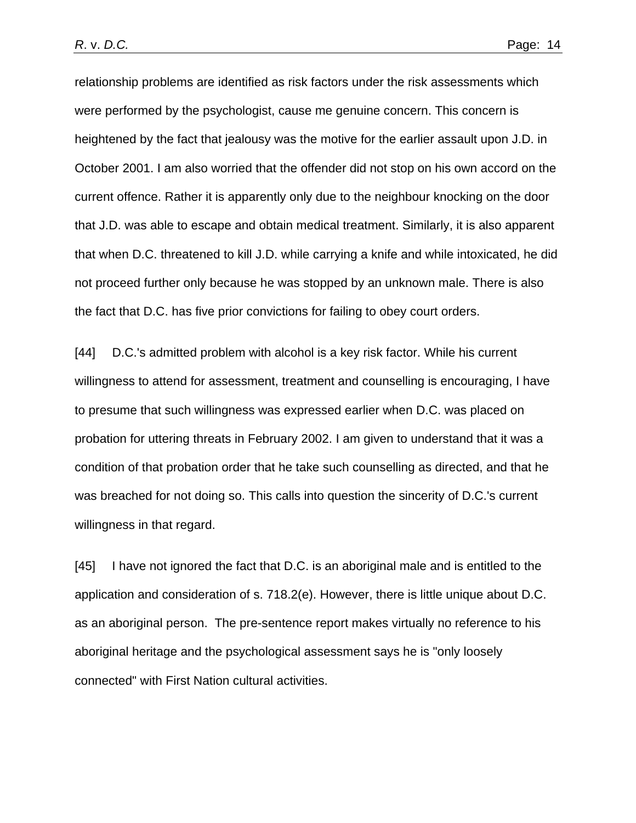relationship problems are identified as risk factors under the risk assessments which were performed by the psychologist, cause me genuine concern. This concern is heightened by the fact that jealousy was the motive for the earlier assault upon J.D. in October 2001. I am also worried that the offender did not stop on his own accord on the current offence. Rather it is apparently only due to the neighbour knocking on the door that J.D. was able to escape and obtain medical treatment. Similarly, it is also apparent that when D.C. threatened to kill J.D. while carrying a knife and while intoxicated, he did not proceed further only because he was stopped by an unknown male. There is also the fact that D.C. has five prior convictions for failing to obey court orders.

[44] D.C.'s admitted problem with alcohol is a key risk factor. While his current willingness to attend for assessment, treatment and counselling is encouraging, I have to presume that such willingness was expressed earlier when D.C. was placed on probation for uttering threats in February 2002. I am given to understand that it was a condition of that probation order that he take such counselling as directed, and that he was breached for not doing so. This calls into question the sincerity of D.C.'s current willingness in that regard.

[45] I have not ignored the fact that D.C. is an aboriginal male and is entitled to the application and consideration of s. 718.2(e). However, there is little unique about D.C. as an aboriginal person. The pre-sentence report makes virtually no reference to his aboriginal heritage and the psychological assessment says he is "only loosely connected" with First Nation cultural activities.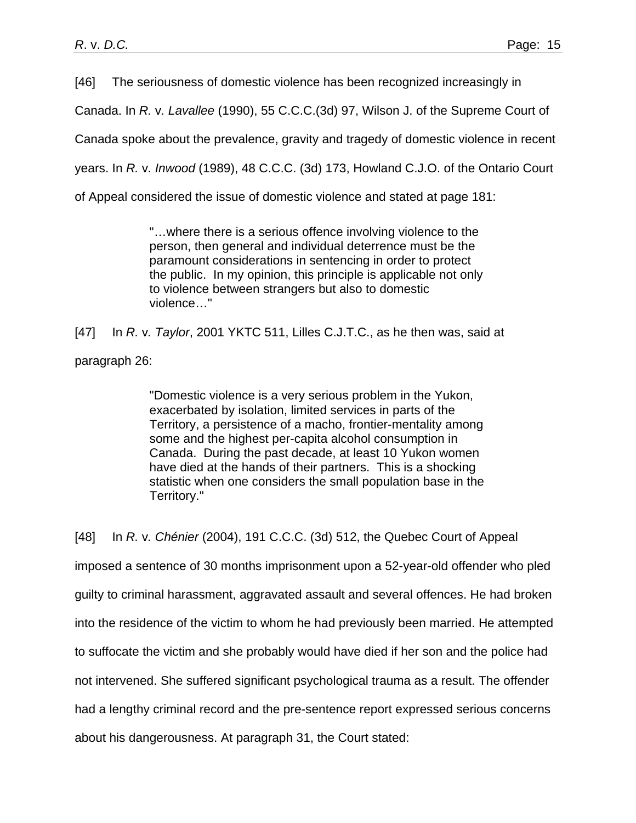[46] The seriousness of domestic violence has been recognized increasingly in

Canada. In *R.* v*. Lavallee* (1990), 55 C.C.C.(3d) 97, Wilson J. of the Supreme Court of

Canada spoke about the prevalence, gravity and tragedy of domestic violence in recent

years. In *R.* v*. Inwood* (1989), 48 C.C.C. (3d) 173, Howland C.J.O. of the Ontario Court

of Appeal considered the issue of domestic violence and stated at page 181:

"…where there is a serious offence involving violence to the person, then general and individual deterrence must be the paramount considerations in sentencing in order to protect the public. In my opinion, this principle is applicable not only to violence between strangers but also to domestic violence…"

[47] In *R.* v*. Taylor*, 2001 YKTC 511, Lilles C.J.T.C., as he then was, said at paragraph 26:

> "Domestic violence is a very serious problem in the Yukon, exacerbated by isolation, limited services in parts of the Territory, a persistence of a macho, frontier-mentality among some and the highest per-capita alcohol consumption in Canada. During the past decade, at least 10 Yukon women have died at the hands of their partners. This is a shocking statistic when one considers the small population base in the Territory."

[48] In *R.* v*. Chénier* (2004), 191 C.C.C. (3d) 512, the Quebec Court of Appeal imposed a sentence of 30 months imprisonment upon a 52-year-old offender who pled guilty to criminal harassment, aggravated assault and several offences. He had broken into the residence of the victim to whom he had previously been married. He attempted to suffocate the victim and she probably would have died if her son and the police had not intervened. She suffered significant psychological trauma as a result. The offender had a lengthy criminal record and the pre-sentence report expressed serious concerns about his dangerousness. At paragraph 31, the Court stated: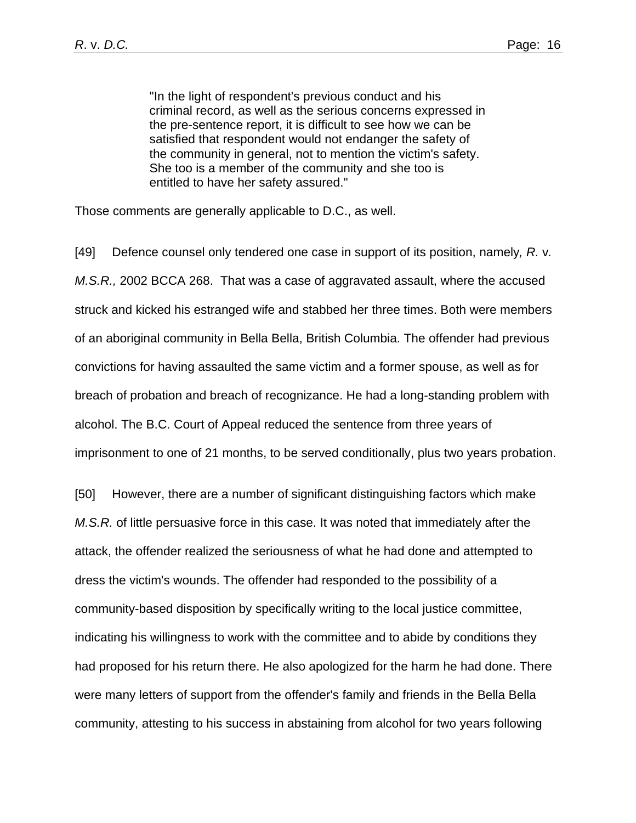"In the light of respondent's previous conduct and his criminal record, as well as the serious concerns expressed in the pre-sentence report, it is difficult to see how we can be satisfied that respondent would not endanger the safety of the community in general, not to mention the victim's safety. She too is a member of the community and she too is entitled to have her safety assured."

Those comments are generally applicable to D.C., as well.

[49] Defence counsel only tendered one case in support of its position, namely*, R.* v*. M.S.R.,* 2002 BCCA 268. That was a case of aggravated assault, where the accused struck and kicked his estranged wife and stabbed her three times. Both were members of an aboriginal community in Bella Bella, British Columbia. The offender had previous convictions for having assaulted the same victim and a former spouse, as well as for breach of probation and breach of recognizance. He had a long-standing problem with alcohol. The B.C. Court of Appeal reduced the sentence from three years of imprisonment to one of 21 months, to be served conditionally, plus two years probation.

[50] However, there are a number of significant distinguishing factors which make *M.S.R.* of little persuasive force in this case. It was noted that immediately after the attack, the offender realized the seriousness of what he had done and attempted to dress the victim's wounds. The offender had responded to the possibility of a community-based disposition by specifically writing to the local justice committee, indicating his willingness to work with the committee and to abide by conditions they had proposed for his return there. He also apologized for the harm he had done. There were many letters of support from the offender's family and friends in the Bella Bella community, attesting to his success in abstaining from alcohol for two years following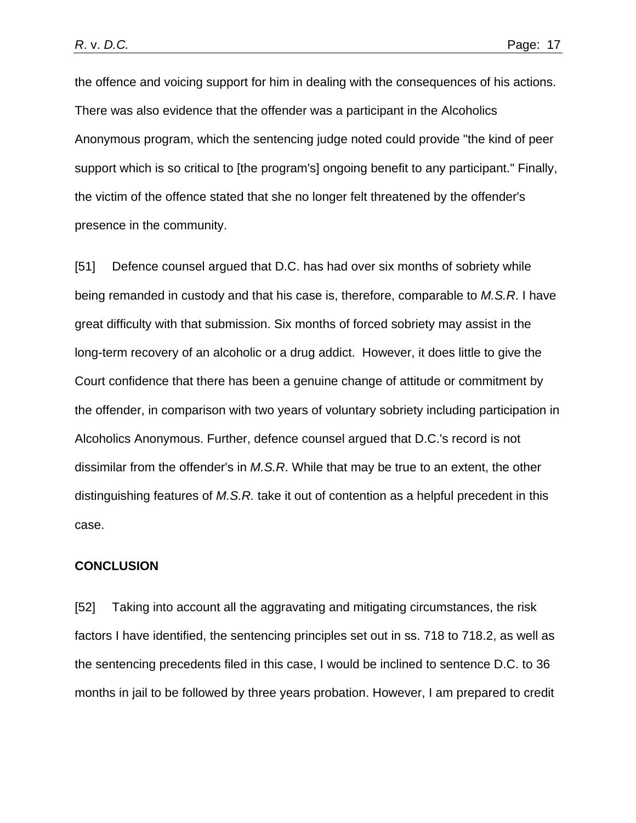the offence and voicing support for him in dealing with the consequences of his actions. There was also evidence that the offender was a participant in the Alcoholics Anonymous program, which the sentencing judge noted could provide "the kind of peer support which is so critical to [the program's] ongoing benefit to any participant." Finally, the victim of the offence stated that she no longer felt threatened by the offender's presence in the community.

[51] Defence counsel argued that D.C. has had over six months of sobriety while being remanded in custody and that his case is, therefore, comparable to *M.S.R*. I have great difficulty with that submission. Six months of forced sobriety may assist in the long-term recovery of an alcoholic or a drug addict. However, it does little to give the Court confidence that there has been a genuine change of attitude or commitment by the offender, in comparison with two years of voluntary sobriety including participation in Alcoholics Anonymous. Further, defence counsel argued that D.C.'s record is not dissimilar from the offender's in *M.S.R*. While that may be true to an extent, the other distinguishing features of *M.S.R.* take it out of contention as a helpful precedent in this case.

### **CONCLUSION**

[52] Taking into account all the aggravating and mitigating circumstances, the risk factors I have identified, the sentencing principles set out in ss. 718 to 718.2, as well as the sentencing precedents filed in this case, I would be inclined to sentence D.C. to 36 months in jail to be followed by three years probation. However, I am prepared to credit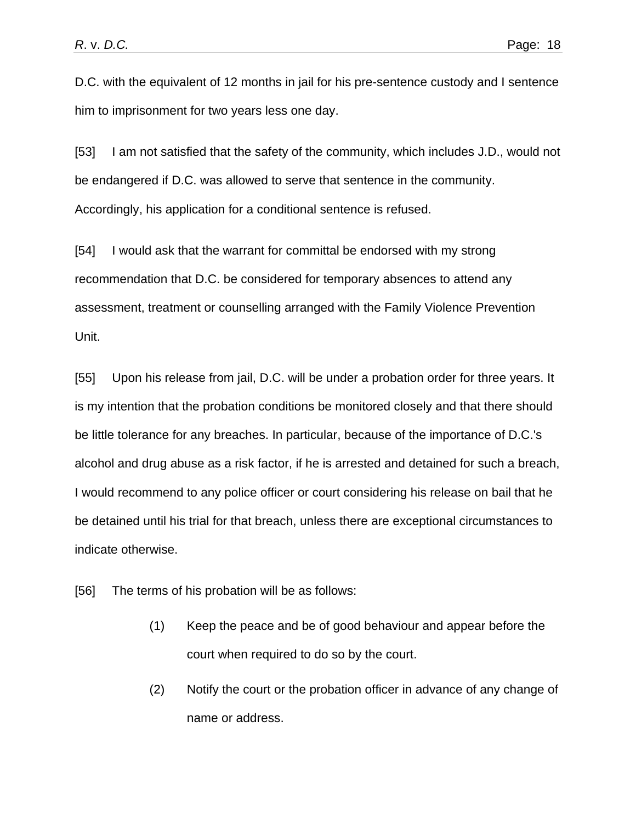D.C. with the equivalent of 12 months in jail for his pre-sentence custody and I sentence him to imprisonment for two years less one day.

[53] I am not satisfied that the safety of the community, which includes J.D., would not be endangered if D.C. was allowed to serve that sentence in the community. Accordingly, his application for a conditional sentence is refused.

[54] I would ask that the warrant for committal be endorsed with my strong recommendation that D.C. be considered for temporary absences to attend any assessment, treatment or counselling arranged with the Family Violence Prevention Unit.

[55] Upon his release from jail, D.C. will be under a probation order for three years. It is my intention that the probation conditions be monitored closely and that there should be little tolerance for any breaches. In particular, because of the importance of D.C.'s alcohol and drug abuse as a risk factor, if he is arrested and detained for such a breach, I would recommend to any police officer or court considering his release on bail that he be detained until his trial for that breach, unless there are exceptional circumstances to indicate otherwise.

[56] The terms of his probation will be as follows:

- (1) Keep the peace and be of good behaviour and appear before the court when required to do so by the court.
- (2) Notify the court or the probation officer in advance of any change of name or address.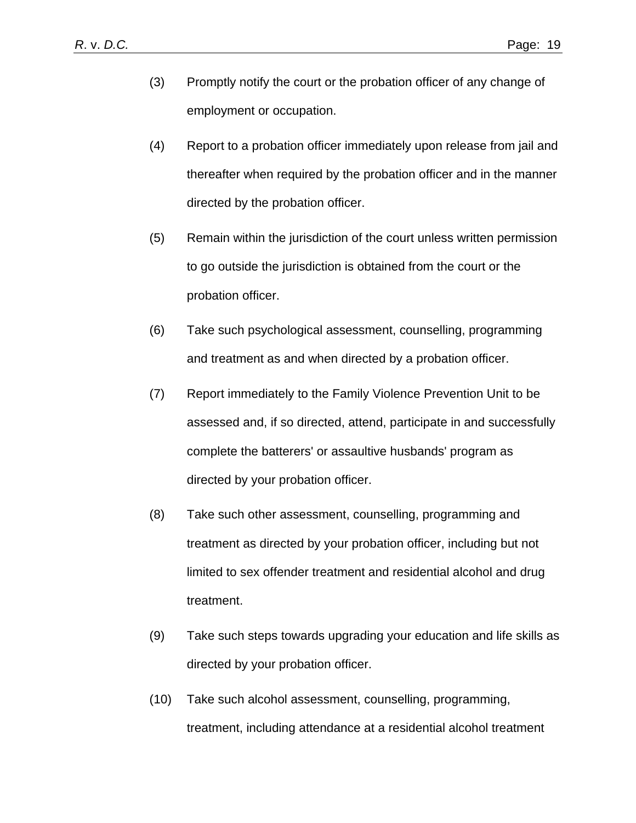- (3) Promptly notify the court or the probation officer of any change of employment or occupation.
- (4) Report to a probation officer immediately upon release from jail and thereafter when required by the probation officer and in the manner directed by the probation officer.
- (5) Remain within the jurisdiction of the court unless written permission to go outside the jurisdiction is obtained from the court or the probation officer.
- (6) Take such psychological assessment, counselling, programming and treatment as and when directed by a probation officer.
- (7) Report immediately to the Family Violence Prevention Unit to be assessed and, if so directed, attend, participate in and successfully complete the batterers' or assaultive husbands' program as directed by your probation officer.
- (8) Take such other assessment, counselling, programming and treatment as directed by your probation officer, including but not limited to sex offender treatment and residential alcohol and drug treatment.
- (9) Take such steps towards upgrading your education and life skills as directed by your probation officer.
- (10) Take such alcohol assessment, counselling, programming, treatment, including attendance at a residential alcohol treatment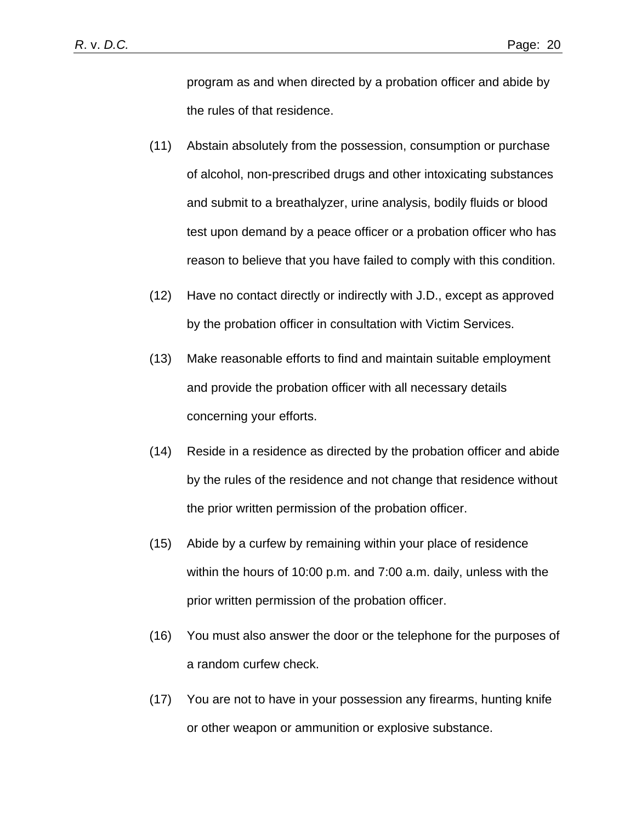program as and when directed by a probation officer and abide by the rules of that residence.

- (11) Abstain absolutely from the possession, consumption or purchase of alcohol, non-prescribed drugs and other intoxicating substances and submit to a breathalyzer, urine analysis, bodily fluids or blood test upon demand by a peace officer or a probation officer who has reason to believe that you have failed to comply with this condition.
- (12) Have no contact directly or indirectly with J.D., except as approved by the probation officer in consultation with Victim Services.
- (13) Make reasonable efforts to find and maintain suitable employment and provide the probation officer with all necessary details concerning your efforts.
- (14) Reside in a residence as directed by the probation officer and abide by the rules of the residence and not change that residence without the prior written permission of the probation officer.
- (15) Abide by a curfew by remaining within your place of residence within the hours of 10:00 p.m. and 7:00 a.m. daily, unless with the prior written permission of the probation officer.
- (16) You must also answer the door or the telephone for the purposes of a random curfew check.
- (17) You are not to have in your possession any firearms, hunting knife or other weapon or ammunition or explosive substance.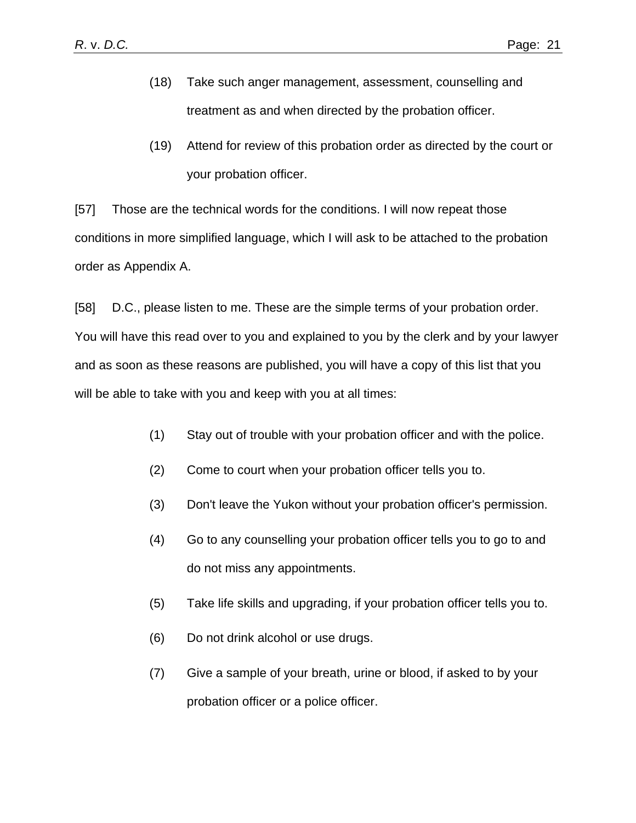- (18) Take such anger management, assessment, counselling and treatment as and when directed by the probation officer.
- (19) Attend for review of this probation order as directed by the court or your probation officer.

[57] Those are the technical words for the conditions. I will now repeat those conditions in more simplified language, which I will ask to be attached to the probation order as Appendix A.

[58] D.C., please listen to me. These are the simple terms of your probation order. You will have this read over to you and explained to you by the clerk and by your lawyer and as soon as these reasons are published, you will have a copy of this list that you will be able to take with you and keep with you at all times:

- (1) Stay out of trouble with your probation officer and with the police.
- (2) Come to court when your probation officer tells you to.
- (3) Don't leave the Yukon without your probation officer's permission.
- (4) Go to any counselling your probation officer tells you to go to and do not miss any appointments.
- (5) Take life skills and upgrading, if your probation officer tells you to.
- (6) Do not drink alcohol or use drugs.
- (7) Give a sample of your breath, urine or blood, if asked to by your probation officer or a police officer.